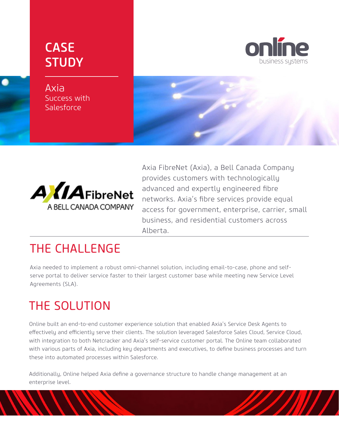## CASE **STUDY**

Axia Success with **Salesforce** 





Axia FibreNet (Axia), a Bell Canada Company provides customers with technologically advanced and expertly engineered fibre networks. Axia's fibre services provide equal access for government, enterprise, carrier, small business, and residential customers across Alberta.

### THE CHALLENGE

Axia needed to implement a robust omni-channel solution, including email-to-case, phone and selfserve portal to deliver service faster to their largest customer base while meeting new Service Level Agreements (SLA).

## THE SOLUTION

Online built an end-to-end customer experience solution that enabled Axia's Service Desk Agents to effectively and efficiently serve their clients. The solution leveraged Salesforce Sales Cloud, Service Cloud, with integration to both Netcracker and Axia's self-service customer portal. The Online team collaborated with various parts of Axia, including key departments and executives, to define business processes and turn these into automated processes within Salesforce.

Additionally, Online helped Axia define a governance structure to handle change management at an enterprise level.